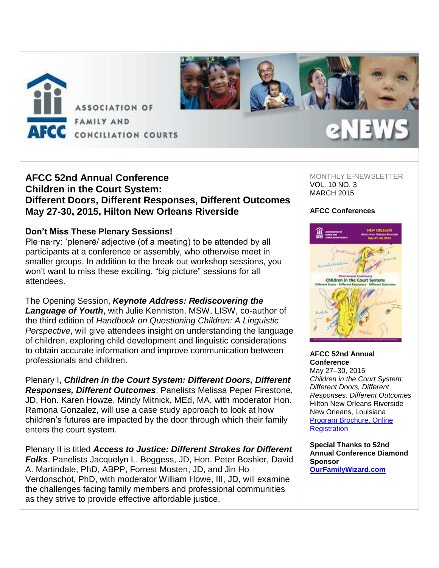

# **AFCC 52nd Annual Conference Children in the Court System: Different Doors, Different Responses, Different Outcomes May 27-30, 2015, Hilton New Orleans Riverside**

### **Don't Miss These Plenary Sessions!**

Ple·na·ry: ˈplenərē/ adjective (of a meeting) to be attended by all participants at a conference or assembly, who otherwise meet in smaller groups. In addition to the break out workshop sessions, you won't want to miss these exciting, "big picture" sessions for all attendees.

The Opening Session, *Keynote Address: Rediscovering the Language of Youth*, with Julie Kenniston, MSW, LISW, co-author of the third edition of *Handbook on Questioning Children: A Linguistic Perspective*, will give attendees insight on understanding the language of children, exploring child development and linguistic considerations to obtain accurate information and improve communication between professionals and children.

Plenary I, *Children in the Court System: Different Doors, Different Responses, Different Outcomes*. Panelists Melissa Peper Firestone, JD, Hon. Karen Howze, Mindy Mitnick, MEd, MA, with moderator Hon. Ramona Gonzalez, will use a case study approach to look at how children's futures are impacted by the door through which their family enters the court system.

Plenary II is titled *Access to Justice: Different Strokes for Different Folks*. Panelists Jacquelyn L. Boggess, JD, Hon. Peter Boshier, David A. Martindale, PhD, ABPP, Forrest Mosten, JD, and Jin Ho Verdonschot, PhD, with moderator William Howe, III, JD, will examine the challenges facing family members and professional communities as they strive to provide effective affordable justice.

MONTHLY E-NEWSLETTER VOL. 10 NO. 3 MARCH 2015

#### **AFCC Conferences**



#### **AFCC 52nd Annual Conference**

May 27–30, 2015 *Children in the Court System: Different Doors, Different Responses, Different Outcomes* Hilton New Orleans Riverside New Orleans, Louisiana [Program Brochure, Online](http://afcc.networkats.com/members_online/utilities/emailct.asp?57d7a370bd2d660edfc25f70c33ea1c758c4692e8b77795115df8253d358e328c81acc95c672cffa)  **[Registration](http://afcc.networkats.com/members_online/utilities/emailct.asp?57d7a370bd2d660edfc25f70c33ea1c758c4692e8b77795115df8253d358e328c81acc95c672cffa)** 

**Special Thanks to 52nd Annual Conference Diamond Sponsor [OurFamilyWizard.com](http://afcc.networkats.com/members_online/utilities/emailct.asp?4652871f2ac3db8fc0f10ef774704992e18423388b77795115df8253d358e328c81acc95c672cffa)**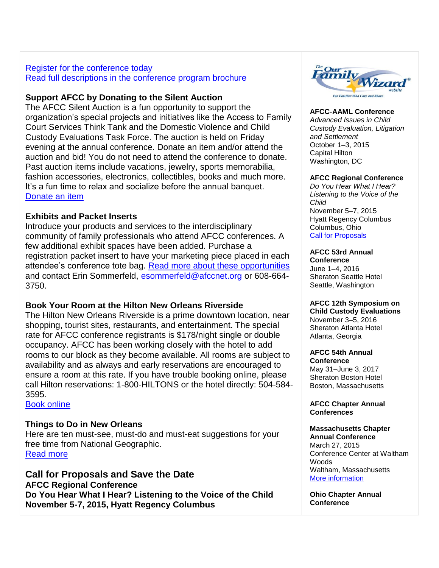### [Register for the conference today](http://afcc.networkats.com/members_online/utilities/emailct.asp?0c3a8da87f34b10032137bdc4a6acfcaa9248b398b77795115df8253d358e328c81acc95c672cffa)  [Read full descriptions in the conference program brochure](http://afcc.networkats.com/members_online/utilities/emailct.asp?06c8bb47aafaed3bfb3384c9693309c9e3d45e678b77795115df8253d358e328c81acc95c672cffa)

# **Support AFCC by Donating to the Silent Auction**

The AFCC Silent Auction is a fun opportunity to support the organization's special projects and initiatives like the Access to Family Court Services Think Tank and the Domestic Violence and Child Custody Evaluations Task Force. The auction is held on Friday evening at the annual conference. Donate an item and/or attend the auction and bid! You do not need to attend the conference to donate. Past auction items include vacations, jewelry, sports memorabilia, fashion accessories, electronics, collectibles, books and much more. It's a fun time to relax and socialize before the annual banquet. [Donate an item](http://afcc.networkats.com/members_online/utilities/emailct.asp?e6aafc8add8ad6e12c03ac788fcb5a4090d184d98b77795115df8253d358e328c81acc95c672cffa)

# **Exhibits and Packet Inserts**

Introduce your products and services to the interdisciplinary community of family professionals who attend AFCC conferences. A few additional exhibit spaces have been added. Purchase a registration packet insert to have your marketing piece placed in each attendee's conference tote bag. [Read more about these opportunities](http://afcc.networkats.com/members_online/utilities/emailct.asp?bacba0727d6614598b55aaf11697b44016dde4c68b77795115df8253d358e328c81acc95c672cffa) and contact Erin Sommerfeld, [esommerfeld@afccnet.org](mailto:esommerfeld@afccnet.org) or 608-664-3750.

# **Book Your Room at the Hilton New Orleans Riverside**

The Hilton New Orleans Riverside is a prime downtown location, near shopping, tourist sites, restaurants, and entertainment. The special rate for AFCC conference registrants is \$178/night single or double occupancy. AFCC has been working closely with the hotel to add rooms to our block as they become available. All rooms are subject to availability and as always and early reservations are encouraged to ensure a room at this rate. If you have trouble booking online, please call Hilton reservations: 1-800-HILTONS or the hotel directly: 504-584- 3595.

[Book online](http://afcc.networkats.com/members_online/utilities/emailct.asp?b38f7f40fef9c3c8d5aa3b84852c49b0449bbbc68b77795115df8253d358e328c81acc95c672cffa)

# **Things to Do in New Orleans**

Here are ten must-see, must-do and must-eat suggestions for your free time from National Geographic. [Read more](http://afcc.networkats.com/members_online/utilities/emailct.asp?93f1d76b7d48452086ccf590dd3ad1b11dc583d48b77795115df8253d358e328c81acc95c672cffa)

## **Call for Proposals and Save the Date AFCC Regional Conference Do You Hear What I Hear? Listening to the Voice of the Child November 5-7, 2015, Hyatt Regency Columbus**



#### **AFCC-AAML Conference**

*Advanced Issues in Child Custody Evaluation, Litigation and Settlement* October 1–3, 2015 Capital Hilton Washington, DC

#### **AFCC Regional Conference**

*Do You Hear What I Hear? Listening to the Voice of the Child* November 5–7, 2015 Hyatt Regency Columbus Columbus, Ohio [Call for Proposals](http://afcc.networkats.com/members_online/utilities/emailct.asp?3ea93060c864fda328b0fd653dcc4d6d314d8f1b8b77795115df8253d358e328c81acc95c672cffa)

### **AFCC 53rd Annual**

**Conference** June 1–4, 2016 Sheraton Seattle Hotel Seattle, Washington

### **AFCC 12th Symposium on**

**Child Custody Evaluations** November 3–5, 2016 Sheraton Atlanta Hotel Atlanta, Georgia

# **AFCC 54th Annual**

**Conference** May 31–June 3, 2017 Sheraton Boston Hotel Boston, Massachusetts

**AFCC Chapter Annual Conferences**

#### **Massachusetts Chapter Annual Conference** March 27, 2015

Conference Center at Waltham Woods Waltham, Massachusetts [More information](http://afcc.networkats.com/members_online/utilities/emailct.asp?961188b37b067d997b358d7cbc32a87c708abaf38b77795115df8253d358e328c81acc95c672cffa) 

**Ohio Chapter Annual Conference**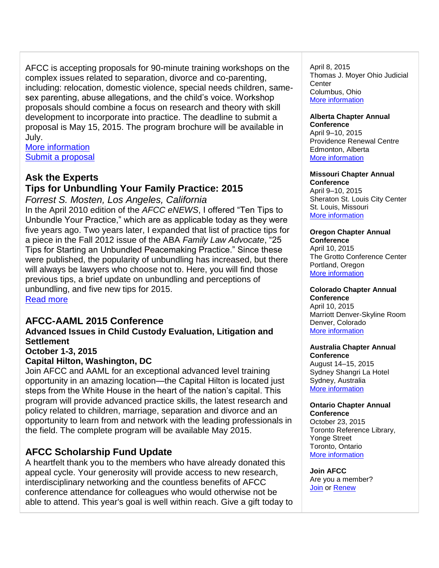AFCC is accepting proposals for 90-minute training workshops on the complex issues related to separation, divorce and co-parenting, including: relocation, domestic violence, special needs children, samesex parenting, abuse allegations, and the child's voice. Workshop proposals should combine a focus on research and theory with skill development to incorporate into practice. The deadline to submit a proposal is May 15, 2015. The program brochure will be available in July.

[More information](http://afcc.networkats.com/members_online/utilities/emailct.asp?3ea93060c864fda328b0fd653dcc4d6d314d8f1b8b77795115df8253d358e328c81acc95c672cffa) [Submit a proposal](http://afcc.networkats.com/members_online/utilities/emailct.asp?acff2a7732d608ed28d5e278ea3f5806aedcb25f8b77795115df8253d358e328c81acc95c672cffa)

# **Ask the Experts**

# **Tips for Unbundling Your Family Practice: 2015**

*Forrest S. Mosten, Los Angeles, California* In the April 2010 edition of the *AFCC eNEWS*, I offered "Ten Tips to Unbundle Your Practice," which are as applicable today as they were five years ago. Two years later, I expanded that list of practice tips for a piece in the Fall 2012 issue of the ABA *Family Law Advocate*, "25 Tips for Starting an Unbundled Peacemaking Practice." Since these were published, the popularity of unbundling has increased, but there will always be lawyers who choose not to. Here, you will find those previous tips, a brief update on unbundling and perceptions of unbundling, and five new tips for 2015. [Read more](http://afcc.networkats.com/members_online/utilities/emailct.asp?6bc6dea513c2d28dad8ebf1fdfdaaf5ca243bfa48b77795115df8253d358e328c81acc95c672cffa)

# **AFCC-AAML 2015 Conference**

#### **Advanced Issues in Child Custody Evaluation, Litigation and Settlement October 1-3, 2015**

# **Capital Hilton, Washington, DC**

Join AFCC and AAML for an exceptional advanced level training opportunity in an amazing location—the Capital Hilton is located just steps from the White House in the heart of the nation's capital. This program will provide advanced practice skills, the latest research and policy related to children, marriage, separation and divorce and an opportunity to learn from and network with the leading professionals in the field. The complete program will be available May 2015.

# **AFCC Scholarship Fund Update**

A heartfelt thank you to the members who have already donated this appeal cycle. Your generosity will provide access to new research, interdisciplinary networking and the countless benefits of AFCC conference attendance for colleagues who would otherwise not be able to attend. This year's goal is well within reach. Give a gift today to April 8, 2015 Thomas J. Moyer Ohio Judicial **Center** Columbus, Ohio [More information](http://afcc.networkats.com/members_online/utilities/emailct.asp?234c626792a285c69f25f6abc8db0835f74c36968b77795115df8253d358e328c81acc95c672cffa)

#### **Alberta Chapter Annual**

**Conference** April 9–10, 2015 Providence Renewal Centre Edmonton, Alberta [More information](http://afcc.networkats.com/members_online/utilities/emailct.asp?a6214274867c417506ae694b50aa295cab1f6e258b77795115df8253d358e328c81acc95c672cffa)

#### **Missouri Chapter Annual Conference**

April 9–10, 2015 Sheraton St. Louis City Center St. Louis, Missouri [More information](http://afcc.networkats.com/members_online/utilities/emailct.asp?36ad81af7ecd2b8af65a07dd19ed63fe8f1cfe028b77795115df8253d358e328c81acc95c672cffa)

# **Oregon Chapter Annual**

**Conference** April 10, 2015 The Grotto Conference Center Portland, Oregon [More information](http://afcc.networkats.com/members_online/utilities/emailct.asp?4c792cd723a9085fbcc284fc783155d8baead95c8b77795115df8253d358e328c81acc95c672cffa)

# **Colorado Chapter Annual**

**Conference**  April 10, 2015 Marriott Denver-Skyline Room Denver, Colorado [More information](http://afcc.networkats.com/members_online/utilities/emailct.asp?a25b48a1fc24e8df1681d987d29d06eb1ace1a688b77795115df8253d358e328c81acc95c672cffa) 

#### **Australia Chapter Annual Conference**

August 14–15, 2015 Sydney Shangri La Hotel Sydney, Australia [More information](mailto:drjenniferneoh@gmail.com) 

#### **Ontario Chapter Annual Conference**

October 23, 2015 Toronto Reference Library, Yonge Street Toronto, Ontario [More information](http://afcc.networkats.com/members_online/utilities/emailct.asp?f7299840a2bcabe9736beb549ad3d372f68529678b77795115df8253d358e328c81acc95c672cffa) 

**Join AFCC** Are you a member? [Join](http://afcc.networkats.com/members_online/utilities/emailct.asp?bc25c8410e48f948687d43919cb1d574a4cd57308b77795115df8253d358e328c81acc95c672cffa) or [Renew](http://afcc.networkats.com/members_online/utilities/emailct.asp?6ef6846ff0987aad68762039a8a35326cd2bd25f8b77795115df8253d358e328c81acc95c672cffa)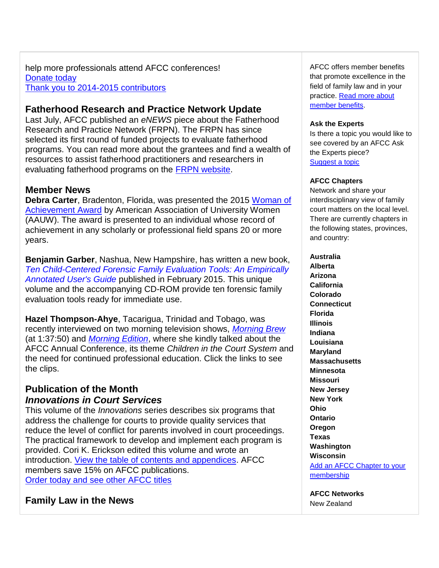help more professionals attend AFCC conferences! [Donate today](http://afcc.networkats.com/members_online/utilities/emailct.asp?497d35a9d7fd841c21de639ffcfd1891796b0e8d8b77795115df8253d358e328c81acc95c672cffa) [Thank you to 2014-2015 contributors](http://afcc.networkats.com/members_online/utilities/emailct.asp?9aa9c45b5e4c1bf8f06a2b2ab10e72f01db929be8b77795115df8253d358e328c81acc95c672cffa)

# **Fatherhood Research and Practice Network Update**

Last July, AFCC published an *eNEWS* piece about the Fatherhood Research and Practice Network (FRPN). The FRPN has since selected its first round of funded projects to evaluate fatherhood programs. You can read more about the grantees and find a wealth of resources to assist fatherhood practitioners and researchers in evaluating fatherhood programs on the [FRPN website.](http://afcc.networkats.com/members_online/utilities/emailct.asp?ae23a2041993b4173d77cf5196aa275339d95d2a8b77795115df8253d358e328c81acc95c672cffa)

# **Member News**

**Debra Carter**, Bradenton, Florida, was presented the 2015 [Woman of](http://afcc.networkats.com/members_online/utilities/emailct.asp?5d620b90aca8331ce86582939cc4c9c2781697908b77795115df8253d358e328c81acc95c672cffa)  [Achievement Award](http://afcc.networkats.com/members_online/utilities/emailct.asp?5d620b90aca8331ce86582939cc4c9c2781697908b77795115df8253d358e328c81acc95c672cffa) by American Association of University Women (AAUW). The award is presented to an individual whose record of achievement in any scholarly or professional field spans 20 or more years.

**Benjamin Garber**, Nashua, New Hampshire, has written a new book, *[Ten Child-Centered Forensic Family Evaluation Tools: An Empirically](http://afcc.networkats.com/members_online/utilities/emailct.asp?1e07ced305dfc2a490ab3a03f5dcc06d0e801f568b77795115df8253d358e328c81acc95c672cffa)  [Annotated User's Guide](http://afcc.networkats.com/members_online/utilities/emailct.asp?1e07ced305dfc2a490ab3a03f5dcc06d0e801f568b77795115df8253d358e328c81acc95c672cffa)* published in February 2015. This unique volume and the accompanying CD-ROM provide ten forensic family evaluation tools ready for immediate use.

**Hazel Thompson-Ahye**, Tacarigua, Trinidad and Tobago, was recently interviewed on two morning television shows, *[Morning Brew](http://afcc.networkats.com/members_online/utilities/emailct.asp?cbbd9b1bc50f7f9afaa7530ca28ac91c56f3589c8b77795115df8253d358e328c81acc95c672cffa)* (at 1:37:50) and *[Morning Edition](http://afcc.networkats.com/members_online/utilities/emailct.asp?320bd5b2bb9d465f8642edf273a3751690ca7b148b77795115df8253d358e328c81acc95c672cffa)*, where she kindly talked about the AFCC Annual Conference, its theme *Children in the Court System* and the need for continued professional education. Click the links to see the clips.

# **Publication of the Month** *Innovations in Court Services*

This volume of the *Innovations* series describes six programs that address the challenge for courts to provide quality services that reduce the level of conflict for parents involved in court proceedings. The practical framework to develop and implement each program is provided. Cori K. Erickson edited this volume and wrote an introduction. [View the table of contents and appendices.](http://afcc.networkats.com/members_online/utilities/emailct.asp?1b704f6757d678748382035a368bb265278b1dff8b77795115df8253d358e328c81acc95c672cffa) AFCC members save 15% on AFCC publications. [Order today and see other AFCC titles](http://afcc.networkats.com/members_online/utilities/emailct.asp?6e752faa1305e8e90e756709ef7b497e205ae4178b77795115df8253d358e328c81acc95c672cffa)

# **Family Law in the News**

AFCC offers member benefits that promote excellence in the field of family law and in your practice. [Read more about](http://afcc.networkats.com/members_online/utilities/emailct.asp?d00f719a4861ae0d5f31b910d7768c06e7058cd58b77795115df8253d358e328c81acc95c672cffa)  [member benefits.](http://afcc.networkats.com/members_online/utilities/emailct.asp?d00f719a4861ae0d5f31b910d7768c06e7058cd58b77795115df8253d358e328c81acc95c672cffa)

#### **Ask the Experts**

Is there a topic you would like to see covered by an AFCC Ask the Experts piece? [Suggest a topic](mailto:editor@afccnet.org)

#### **AFCC Chapters**

Network and share your interdisciplinary view of family court matters on the local level. There are currently chapters in the following states, provinces, and country:

### **Australia Alberta Arizona California Colorado Connecticut Florida Illinois Indiana Louisiana Maryland Massachusetts Minnesota Missouri New Jersey New York Ohio Ontario Oregon Texas Washington Wisconsin** [Add an AFCC Chapter to your](http://afcc.networkats.com/members_online/utilities/emailct.asp?2a868296bdd936be342485402953fd60dd16b6dc8b77795115df8253d358e328c81acc95c672cffa)  [membership](http://afcc.networkats.com/members_online/utilities/emailct.asp?2a868296bdd936be342485402953fd60dd16b6dc8b77795115df8253d358e328c81acc95c672cffa)

**AFCC Networks** New Zealand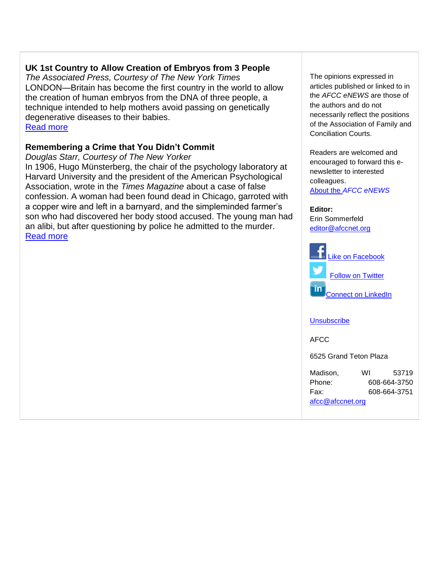# **UK 1st Country to Allow Creation of Embryos from 3 People**

*The Associated Press, Courtesy of The New York Times* LONDON—Britain has become the first country in the world to allow the creation of human embryos from the DNA of three people, a technique intended to help mothers avoid passing on genetically degenerative diseases to their babies. [Read more](http://afcc.networkats.com/members_online/utilities/emailct.asp?00a93f32bf429421a8018d7d02170f86f5f0cbf88b77795115df8253d358e328c81acc95c672cffa)

# **Remembering a Crime that You Didn't Commit**

*Douglas Starr, Courtesy of The New Yorker* In 1906, Hugo Münsterberg, the chair of the psychology laboratory at Harvard University and the president of the American Psychological Association, wrote in the *Times Magazine* about a case of false confession. A woman had been found dead in Chicago, garroted with a copper wire and left in a barnyard, and the simpleminded farmer's son who had discovered her body stood accused. The young man had an alibi, but after questioning by police he admitted to the murder. [Read more](http://afcc.networkats.com/members_online/utilities/emailct.asp?2019637ba291e96f4de822de20b0e124b736223f8b77795115df8253d358e328c81acc95c672cffa)

The opinions expressed in articles published or linked to in the *AFCC eNEWS* are those of the authors and do not necessarily reflect the positions of the Association of Family and Conciliation Courts.

Readers are welcomed and encouraged to forward this enewsletter to interested colleagues.

About the *[AFCC eNEWS](http://afcc.networkats.com/members_online/utilities/emailct.asp?34ee31e1ac303502522ac4520a85c5bcb651b4328b77795115df8253d358e328c81acc95c672cffa)*

#### **Editor:**

Erin Sommerfeld [editor@afccnet.org](mailto:editor@afccnet.org)



### **[Unsubscribe](mailto:afcc@afccnet.org)**

AFCC

6525 Grand Teton Plaza

| Madison,         | WI           | 53719        |
|------------------|--------------|--------------|
| Phone:           | 608-664-3750 |              |
| Fax:             |              | 608-664-3751 |
| afcc@afccnet.org |              |              |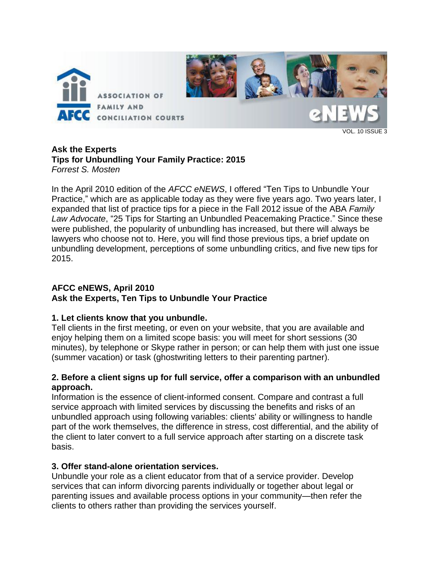

VOL. 10 ISSUE 3

# **Ask the Experts Tips for Unbundling Your Family Practice: 2015** *Forrest S. Mosten*

In the April 2010 edition of the *AFCC eNEWS*, I offered "Ten Tips to Unbundle Your Practice," which are as applicable today as they were five years ago. Two years later, I expanded that list of practice tips for a piece in the Fall 2012 issue of the ABA *Family Law Advocate*, "25 Tips for Starting an Unbundled Peacemaking Practice." Since these were published, the popularity of unbundling has increased, but there will always be lawyers who choose not to. Here, you will find those previous tips, a brief update on unbundling development, perceptions of some unbundling critics, and five new tips for 2015.

# **AFCC eNEWS, April 2010**

# **Ask the Experts, Ten Tips to Unbundle Your Practice**

# **1. Let clients know that you unbundle.**

Tell clients in the first meeting, or even on your website, that you are available and enjoy helping them on a limited scope basis: you will meet for short sessions (30 minutes), by telephone or Skype rather in person; or can help them with just one issue (summer vacation) or task (ghostwriting letters to their parenting partner).

# **2. Before a client signs up for full service, offer a comparison with an unbundled approach.**

Information is the essence of client-informed consent. Compare and contrast a full service approach with limited services by discussing the benefits and risks of an unbundled approach using following variables: clients' ability or willingness to handle part of the work themselves, the difference in stress, cost differential, and the ability of the client to later convert to a full service approach after starting on a discrete task basis.

# **3. Offer stand-alone orientation services.**

Unbundle your role as a client educator from that of a service provider. Develop services that can inform divorcing parents individually or together about legal or parenting issues and available process options in your community—then refer the clients to others rather than providing the services yourself.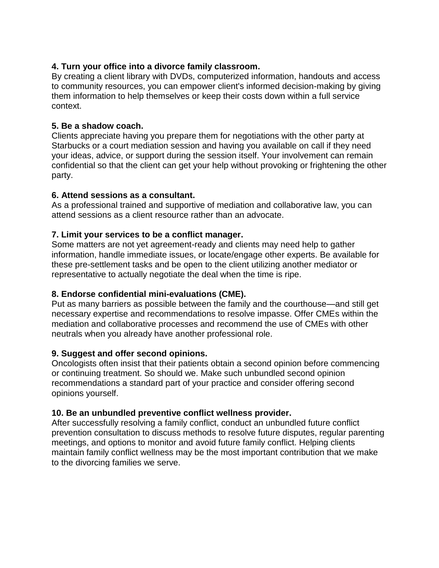# **4. Turn your office into a divorce family classroom.**

By creating a client library with DVDs, computerized information, handouts and access to community resources, you can empower client's informed decision-making by giving them information to help themselves or keep their costs down within a full service context.

# **5. Be a shadow coach.**

Clients appreciate having you prepare them for negotiations with the other party at Starbucks or a court mediation session and having you available on call if they need your ideas, advice, or support during the session itself. Your involvement can remain confidential so that the client can get your help without provoking or frightening the other party.

# **6. Attend sessions as a consultant.**

As a professional trained and supportive of mediation and collaborative law, you can attend sessions as a client resource rather than an advocate.

# **7. Limit your services to be a conflict manager.**

Some matters are not yet agreement-ready and clients may need help to gather information, handle immediate issues, or locate/engage other experts. Be available for these pre-settlement tasks and be open to the client utilizing another mediator or representative to actually negotiate the deal when the time is ripe.

# **8. Endorse confidential mini-evaluations (CME).**

Put as many barriers as possible between the family and the courthouse—and still get necessary expertise and recommendations to resolve impasse. Offer CMEs within the mediation and collaborative processes and recommend the use of CMEs with other neutrals when you already have another professional role.

### **9. Suggest and offer second opinions.**

Oncologists often insist that their patients obtain a second opinion before commencing or continuing treatment. So should we. Make such unbundled second opinion recommendations a standard part of your practice and consider offering second opinions yourself.

### **10. Be an unbundled preventive conflict wellness provider.**

After successfully resolving a family conflict, conduct an unbundled future conflict prevention consultation to discuss methods to resolve future disputes, regular parenting meetings, and options to monitor and avoid future family conflict. Helping clients maintain family conflict wellness may be the most important contribution that we make to the divorcing families we serve.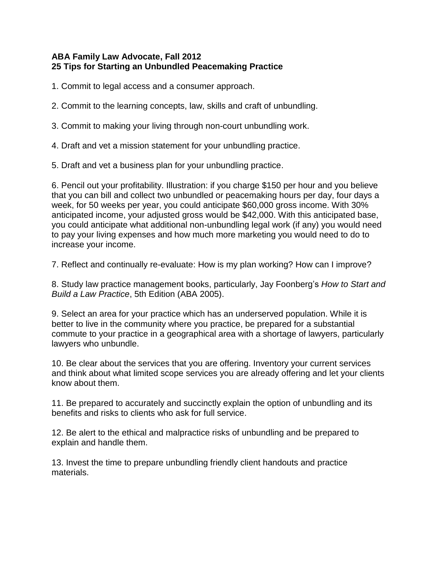# **ABA Family Law Advocate, Fall 2012 25 Tips for Starting an Unbundled Peacemaking Practice**

1. Commit to legal access and a consumer approach.

2. Commit to the learning concepts, law, skills and craft of unbundling.

3. Commit to making your living through non-court unbundling work.

4. Draft and vet a mission statement for your unbundling practice.

5. Draft and vet a business plan for your unbundling practice.

6. Pencil out your profitability. Illustration: if you charge \$150 per hour and you believe that you can bill and collect two unbundled or peacemaking hours per day, four days a week, for 50 weeks per year, you could anticipate \$60,000 gross income. With 30% anticipated income, your adjusted gross would be \$42,000. With this anticipated base, you could anticipate what additional non-unbundling legal work (if any) you would need to pay your living expenses and how much more marketing you would need to do to increase your income.

7. Reflect and continually re-evaluate: How is my plan working? How can I improve?

8. Study law practice management books, particularly, Jay Foonberg's *How to Start and Build a Law Practice*, 5th Edition (ABA 2005).

9. Select an area for your practice which has an underserved population. While it is better to live in the community where you practice, be prepared for a substantial commute to your practice in a geographical area with a shortage of lawyers, particularly lawyers who unbundle.

10. Be clear about the services that you are offering. Inventory your current services and think about what limited scope services you are already offering and let your clients know about them.

11. Be prepared to accurately and succinctly explain the option of unbundling and its benefits and risks to clients who ask for full service.

12. Be alert to the ethical and malpractice risks of unbundling and be prepared to explain and handle them.

13. Invest the time to prepare unbundling friendly client handouts and practice materials.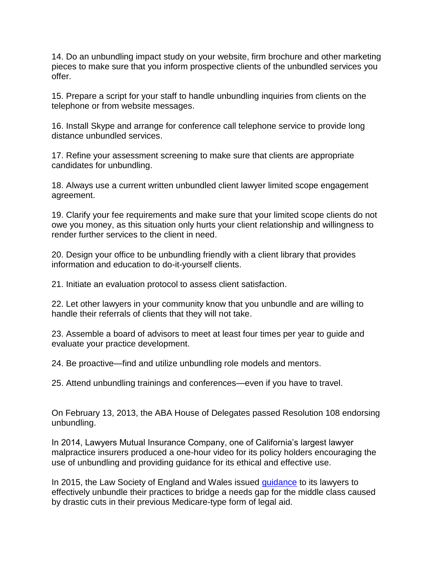14. Do an unbundling impact study on your website, firm brochure and other marketing pieces to make sure that you inform prospective clients of the unbundled services you offer.

15. Prepare a script for your staff to handle unbundling inquiries from clients on the telephone or from website messages.

16. Install Skype and arrange for conference call telephone service to provide long distance unbundled services.

17. Refine your assessment screening to make sure that clients are appropriate candidates for unbundling.

18. Always use a current written unbundled client lawyer limited scope engagement agreement.

19. Clarify your fee requirements and make sure that your limited scope clients do not owe you money, as this situation only hurts your client relationship and willingness to render further services to the client in need.

20. Design your office to be unbundling friendly with a client library that provides information and education to do-it-yourself clients.

21. Initiate an evaluation protocol to assess client satisfaction.

22. Let other lawyers in your community know that you unbundle and are willing to handle their referrals of clients that they will not take.

23. Assemble a board of advisors to meet at least four times per year to guide and evaluate your practice development.

24. Be proactive—find and utilize unbundling role models and mentors.

25. Attend unbundling trainings and conferences—even if you have to travel.

On February 13, 2013, the ABA House of Delegates passed Resolution 108 endorsing unbundling.

In 2014, Lawyers Mutual Insurance Company, one of California's largest lawyer malpractice insurers produced a one-hour video for its policy holders encouraging the use of unbundling and providing guidance for its ethical and effective use.

In 2015, the Law Society of England and Wales issued [guidance](https://www.lawsociety.org.uk/support-services/advice/practice-notes/unbundling/) to its lawyers to effectively unbundle their practices to bridge a needs gap for the middle class caused by drastic cuts in their previous Medicare-type form of legal aid.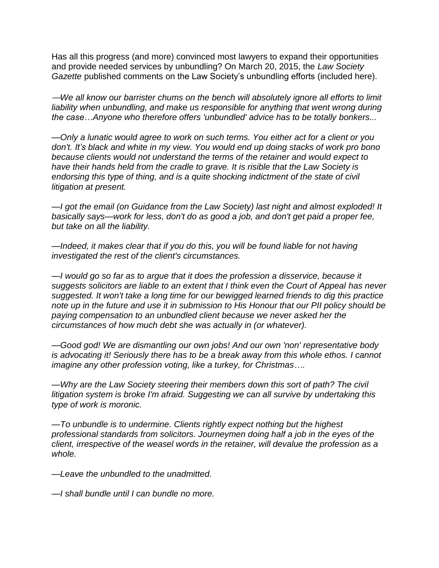Has all this progress (and more) convinced most lawyers to expand their opportunities and provide needed services by unbundling? On March 20, 2015, the *Law Society Gazette* published comments on the Law Society's unbundling efforts (included here).

—*We all know our barrister chums on the bench will absolutely ignore all efforts to limit*  liability when unbundling, and make us responsible for anything that went wrong during *the case…Anyone who therefore offers 'unbundled' advice has to be totally bonkers...*

*—Only a lunatic would agree to work on such terms. You either act for a client or you don't. It's black and white in my view. You would end up doing stacks of work pro bono because clients would not understand the terms of the retainer and would expect to have their hands held from the cradle to grave. It is risible that the Law Society is endorsing this type of thing, and is a quite shocking indictment of the state of civil litigation at present.* 

*—I got the email (on Guidance from the Law Society) last night and almost exploded! It basically says—work for less, don't do as good a job, and don't get paid a proper fee, but take on all the liability.* 

*—Indeed, it makes clear that if you do this, you will be found liable for not having investigated the rest of the client's circumstances.* 

*—I would go so far as to argue that it does the profession a disservice, because it suggests solicitors are liable to an extent that I think even the Court of Appeal has never suggested. It won't take a long time for our bewigged learned friends to dig this practice note up in the future and use it in submission to His Honour that our PII policy should be paying compensation to an unbundled client because we never asked her the circumstances of how much debt she was actually in (or whatever).*

*—Good god! We are dismantling our own jobs! And our own 'non' representative body is advocating it! Seriously there has to be a break away from this whole ethos. I cannot imagine any other profession voting, like a turkey, for Christmas….*

*—Why are the Law Society steering their members down this sort of path? The civil litigation system is broke I'm afraid. Suggesting we can all survive by undertaking this type of work is moronic.*

*—To unbundle is to undermine. Clients rightly expect nothing but the highest professional standards from solicitors. Journeymen doing half a job in the eyes of the client, irrespective of the weasel words in the retainer, will devalue the profession as a whole.* 

*—Leave the unbundled to the unadmitted.* 

*—I shall bundle until I can bundle no more.*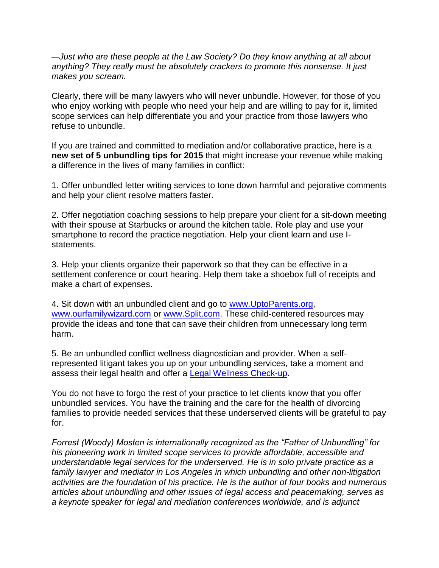*—Just who are these people at the Law Society? Do they know anything at all about anything? They really must be absolutely crackers to promote this nonsense. It just makes you scream.* 

Clearly, there will be many lawyers who will never unbundle. However, for those of you who enjoy working with people who need your help and are willing to pay for it, limited scope services can help differentiate you and your practice from those lawyers who refuse to unbundle.

If you are trained and committed to mediation and/or collaborative practice, here is a **new set of 5 unbundling tips for 2015** that might increase your revenue while making a difference in the lives of many families in conflict:

1. Offer unbundled letter writing services to tone down harmful and pejorative comments and help your client resolve matters faster.

2. Offer negotiation coaching sessions to help prepare your client for a sit-down meeting with their spouse at Starbucks or around the kitchen table. Role play and use your smartphone to record the practice negotiation. Help your client learn and use Istatements.

3. Help your clients organize their paperwork so that they can be effective in a settlement conference or court hearing. Help them take a shoebox full of receipts and make a chart of expenses.

4. Sit down with an unbundled client and go to [www.UptoParents.org,](http://www.uptoparents.org/) [www.ourfamilywizard.com](http://www.ourfamilywizard.com/) or [www.Split.com.](http://www.split.com/) These child-centered resources may provide the ideas and tone that can save their children from unnecessary long term harm.

5. Be an unbundled conflict wellness diagnostician and provider. When a selfrepresented litigant takes you up on your unbundling services, take a moment and assess their legal health and offer a **Legal Wellness Check-up**.

You do not have to forgo the rest of your practice to let clients know that you offer unbundled services. You have the training and the care for the health of divorcing families to provide needed services that these underserved clients will be grateful to pay for.

*Forrest (Woody) Mosten is internationally recognized as the "Father of Unbundling" for his pioneering work in limited scope services to provide affordable, accessible and understandable legal services for the underserved. He is in solo private practice as a family lawyer and mediator in Los Angeles in which unbundling and other non-litigation activities are the foundation of his practice. He is the author of four books and numerous articles about unbundling and other issues of legal access and peacemaking, serves as a keynote speaker for legal and mediation conferences worldwide, and is adjunct*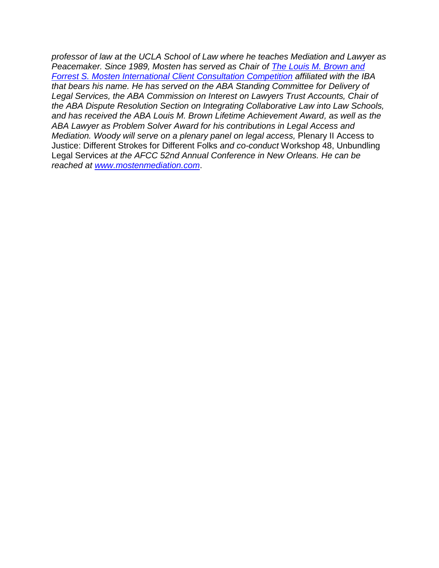*professor of law at the UCLA School of Law where he teaches Mediation and Lawyer as Peacemaker. Since 1989, Mosten has served as Chair of [The Louis M. Brown and](http://www.brownmosten.com/)  Forrest S. Mosten International [Client Consultation Competition](http://www.brownmosten.com/) affiliated with the IBA that bears his name. He has served on the ABA Standing Committee for Delivery of Legal Services, the ABA Commission on Interest on Lawyers Trust Accounts, Chair of the ABA Dispute Resolution Section on Integrating Collaborative Law into Law Schools, and has received the ABA Louis M. Brown Lifetime Achievement Award, as well as the ABA Lawyer as Problem Solver Award for his contributions in Legal Access and Mediation. Woody will serve on a plenary panel on legal access,* Plenary II Access to Justice: Different Strokes for Different Folks *and co-conduct* Workshop 48, Unbundling Legal Services *at the AFCC 52nd Annual Conference in New Orleans. He can be reached at [www.mostenmediation.com](http://www.mostenmediation.com/)*.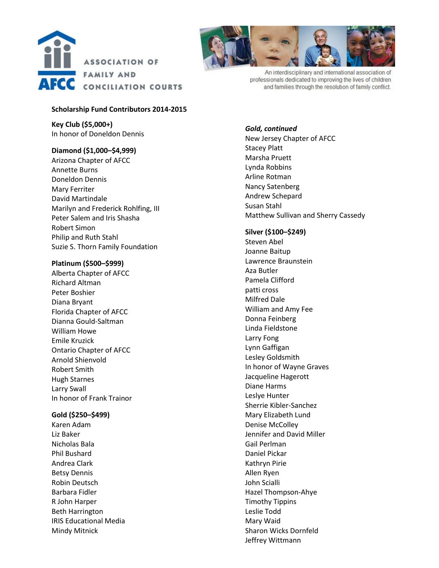



An interdisciplinary and international association of professionals dedicated to improving the lives of children and families through the resolution of family conflict.

#### **Scholarship Fund Contributors 2014-2015**

**Key Club (\$5,000+)** In honor of Doneldon Dennis

#### **Diamond (\$1,000–\$4,999)**

Arizona Chapter of AFCC Annette Burns Doneldon Dennis Mary Ferriter David Martindale Marilyn and Frederick Rohlfing, III Peter Salem and Iris Shasha Robert Simon Philip and Ruth Stahl Suzie S. Thorn Family Foundation

#### **Platinum (\$500–\$999)**

Alberta Chapter of AFCC Richard Altman Peter Boshier Diana Bryant Florida Chapter of AFCC Dianna Gould-Saltman William Howe Emile Kruzick Ontario Chapter of AFCC Arnold Shienvold Robert Smith Hugh Starnes Larry Swall In honor of Frank Trainor

#### **Gold (\$250–\$499)**

Karen Adam Liz Baker Nicholas Bala Phil Bushard Andrea Clark Betsy Dennis Robin Deutsch Barbara Fidler R John Harper Beth Harrington IRIS Educational Media Mindy Mitnick

*Gold, continued* New Jersey Chapter of AFCC Stacey Platt Marsha Pruett Lynda Robbins Arline Rotman Nancy Satenberg Andrew Schepard Susan Stahl Matthew Sullivan and Sherry Cassedy

#### **Silver (\$100–\$249)**

Steven Abel Joanne Baitup Lawrence Braunstein Aza Butler Pamela Clifford patti cross Milfred Dale William and Amy Fee Donna Feinberg Linda Fieldstone Larry Fong Lynn Gaffigan Lesley Goldsmith In honor of Wayne Graves Jacqueline Hagerott Diane Harms Leslye Hunter Sherrie Kibler-Sanchez Mary Elizabeth Lund Denise McColley Jennifer and David Miller Gail Perlman Daniel Pickar Kathryn Pirie Allen Ryen John Scialli Hazel Thompson-Ahye Timothy Tippins Leslie Todd Mary Waid Sharon Wicks Dornfeld Jeffrey Wittmann